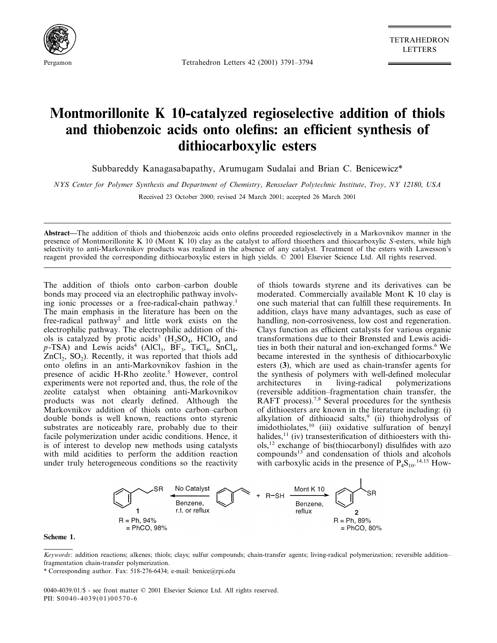

Pergamon Tetrahedron Letters 42 (2001) 3791–3794

TETRAHEDRON LETTERS

# **Montmorillonite K 10-catalyzed regioselective addition of thiols and thiobenzoic acids onto olefins: an efficient synthesis of dithiocarboxylic esters**

Subbareddy Kanagasabapathy, Arumugam Sudalai and Brian C. Benicewicz\*

*NYS Center for Polymer Synthesis and Department of Chemistry*, *Rensselaer Polytechnic Institute*, *Troy*, *NY* 12180, *USA*

Received 23 October 2000; revised 24 March 2001; accepted 26 March 2001

**Abstract—**The addition of thiols and thiobenzoic acids onto olefins proceeded regioselectively in a Markovnikov manner in the presence of Montmorillonite K 10 (Mont K 10) clay as the catalyst to afford thioethers and thiocarboxylic *S*-esters, while high selectivity to anti-Markovnikov products was realized in the absence of any catalyst. Treatment of the esters with Lawesson's reagent provided the corresponding dithiocarboxylic esters in high yields. © 2001 Elsevier Science Ltd. All rights reserved.

The addition of thiols onto carbon-carbon double bonds may proceed via an electrophilic pathway involving ionic processes or a free-radical-chain pathway.<sup>1</sup> The main emphasis in the literature has been on the free-radical pathway<sup>2</sup> and little work exists on the electrophilic pathway. The electrophilic addition of thiols is catalyzed by protic acids<sup>3</sup> ( $H_2SO_4$ , HClO<sub>4</sub> and  $p$ -TSA) and Lewis acids<sup>4</sup> (AlCl<sub>3</sub>, BF<sub>3</sub>, TiCl<sub>4</sub>, SnCl<sub>4</sub>,  $ZnCl<sub>2</sub>$ ,  $SO<sub>2</sub>$ ). Recently, it was reported that thiols add onto olefins in an anti-Markovnikov fashion in the presence of acidic H-Rho zeolite.<sup>5</sup> However, control experiments were not reported and, thus, the role of the zeolite catalyst when obtaining anti-Markovnikov products was not clearly defined. Although the Markovnikov addition of thiols onto carbon-carbon double bonds is well known, reactions onto styrenic substrates are noticeably rare, probably due to their facile polymerization under acidic conditions. Hence, it is of interest to develop new methods using catalysts with mild acidities to perform the addition reaction under truly heterogeneous conditions so the reactivity

of thiols towards styrene and its derivatives can be moderated. Commercially available Mont K 10 clay is one such material that can fulfill these requirements. In addition, clays have many advantages, such as ease of handling, non-corrosiveness, low cost and regeneration. Clays function as efficient catalysts for various organic transformations due to their Brønsted and Lewis acidities in both their natural and ion-exchanged forms.<sup>6</sup> We became interested in the synthesis of dithiocarboxylic esters (**3**), which are used as chain-transfer agents for the synthesis of polymers with well-defined molecular architectures in living-radical polymerizations (reversible addition–fragmentation chain transfer, the RAFT process).<sup>7,8</sup> Several procedures for the synthesis of dithioesters are known in the literature including: (i) alkylation of dithioacid salts,<sup>9</sup> (ii) thiohydrolysis of imidothiolates,10 (iii) oxidative sulfuration of benzyl halides,<sup>11</sup> (iv) transesterification of dithioesters with thiols,12 exchange of bis(thiocarbonyl) disulfides with azo compounds13 and condensation of thiols and alcohols with carboxylic acids in the presence of  $P_4S_{10}$ .<sup>14,15</sup> How-



**Scheme 1.**

0040-4039/01/\$ - see front matter © 2001 Elsevier Science Ltd. All rights reserved. PII:  $$0040-4039(01)00570-6$ 

*Keywords*: addition reactions; alkenes; thiols; clays; sulfur compounds; chain-transfer agents; living-radical polymerization; reversible addition– fragmentation chain-transfer polymerization.

<sup>\*</sup> Corresponding author. Fax: 518-276-6434; e-mail: benice@rpi.edu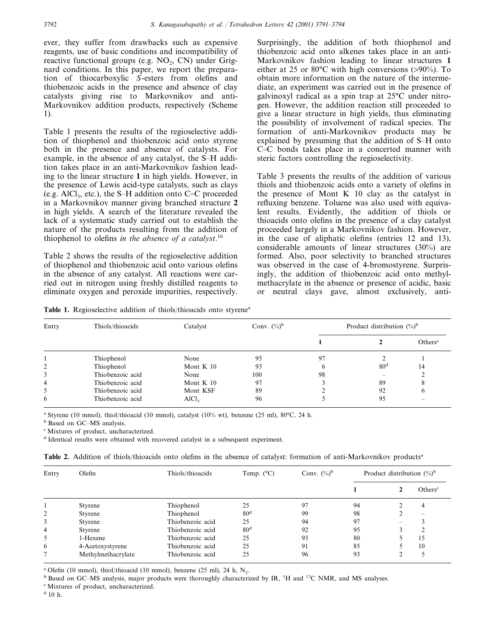ever, they suffer from drawbacks such as expensive reagents, use of basic conditions and incompatibility of reactive functional groups (e.g.  $NO<sub>2</sub>$ , CN) under Grignard conditions. In this paper, we report the preparation of thiocarboxylic *S*-esters from olefins and thiobenzoic acids in the presence and absence of clay catalysts giving rise to Markovnikov and anti-Markovnikov addition products, respectively (Scheme 1).

Table 1 presents the results of the regioselective addition of thiophenol and thiobenzoic acid onto styrene both in the presence and absence of catalysts. For example, in the absence of any catalyst, the S-H addition takes place in an anti-Markovnikov fashion leading to the linear structure **1** in high yields. However, in the presence of Lewis acid-type catalysts, such as clays (e.g. AlCl<sub>3</sub>, etc.), the S-H addition onto C=C proceeded in a Markovnikov manner giving branched structure **2** in high yields. A search of the literature revealed the lack of a systematic study carried out to establish the nature of the products resulting from the addition of thiophenol to olefins *in the absence of a catalyst*. 16

Table 2 shows the results of the regioselective addition of thiophenol and thiobenzoic acid onto various olefins in the absence of any catalyst. All reactions were carried out in nitrogen using freshly distilled reagents to eliminate oxygen and peroxide impurities, respectively.

Surprisingly, the addition of both thiophenol and thiobenzoic acid onto alkenes takes place in an anti-Markovnikov fashion leading to linear structures **1** either at 25 or 80°C with high conversions (>90%). To obtain more information on the nature of the intermediate, an experiment was carried out in the presence of galvinoxyl radical as a spin trap at 25°C under nitrogen. However, the addition reaction still proceeded to give a linear structure in high yields, thus eliminating the possibility of involvement of radical species. The formation of anti-Markovnikov products may be explained by presuming that the addition of S-H onto  $C=C$  bonds takes place in a concerted manner with steric factors controlling the regioselectivity.

Table 3 presents the results of the addition of various thiols and thiobenzoic acids onto a variety of olefins in the presence of Mont K 10 clay as the catalyst in refluxing benzene. Toluene was also used with equivalent results. Evidently, the addition of thiols or thioacids onto olefins in the presence of a clay catalyst proceeded largely in a Markovnikov fashion. However, in the case of aliphatic olefins (entries 12 and 13), considerable amounts of linear structures (30%) are formed. Also, poor selectivity to branched structures was observed in the case of 4-bromostyrene. Surprisingly, the addition of thiobenzoic acid onto methylmethacrylate in the absence or presence of acidic, basic or neutral clays gave, almost exclusively, anti-

Table 1. Regioselective addition of thiols/thioacids onto styrene<sup>a</sup>

| Entry | Thiols/thioacids | Catalyst          | Conv. $(\%)^b$ | Product distribution $(\%)^b$ |                   |                     |  |
|-------|------------------|-------------------|----------------|-------------------------------|-------------------|---------------------|--|
|       |                  |                   |                |                               |                   | Others <sup>c</sup> |  |
|       | Thiophenol       | None              | 95             | 97                            |                   |                     |  |
| 2     | Thiophenol       | Mont $K$ 10       | 93             |                               | 80 <sup>d</sup>   | 14                  |  |
| 3     | Thiobenzoic acid | None              | 100            | 98                            | $\hspace{0.05cm}$ |                     |  |
| 4     | Thiobenzoic acid | Mont $K$ 10       | 97             |                               | 89                | 8                   |  |
| 5     | Thiobenzoic acid | Mont KSF          | 89             |                               | 92                | 6                   |  |
| 6     | Thiobenzoic acid | AICl <sub>3</sub> | 96             |                               | 95                |                     |  |

<sup>a</sup> Styrene (10 mmol), thiol/thioacid (10 mmol), catalyst (10% wt), benzene (25 ml), 80°C, 24 h.

<sup>b</sup> Based on GC–MS analysis.

<sup>c</sup> Mixtures of product, uncharacterized.

<sup>d</sup> Identical results were obtained with recovered catalyst in a subsequent experiment.

|  |  |  |  |  |  |  |  | <b>Table 2.</b> Addition of thiols/thioacids onto olefins in the absence of catalyst: formation of anti-Markovnikov products <sup>a</sup> |  |
|--|--|--|--|--|--|--|--|-------------------------------------------------------------------------------------------------------------------------------------------|--|
|--|--|--|--|--|--|--|--|-------------------------------------------------------------------------------------------------------------------------------------------|--|

| Entry | Olefin             | Thiols/thioacids | Temp. $(^{\circ}C)$ | Conv. $(\%)^b$ | Product distribution $(\%)^b$ |   |                          |
|-------|--------------------|------------------|---------------------|----------------|-------------------------------|---|--------------------------|
|       |                    |                  |                     |                |                               |   | Others <sup>c</sup>      |
|       | Styrene            | Thiophenol       | 25                  | 97             | 94                            |   | 4                        |
| 2     | Styrene            | Thiophenol       | 80 <sup>d</sup>     | 99             | 98                            |   | $\overline{\phantom{a}}$ |
| 3     | Styrene            | Thiobenzoic acid | 25                  | 94             | 97                            | - |                          |
| 4     | Styrene            | Thiobenzoic acid | 80 <sup>d</sup>     | 92             | 95                            |   |                          |
| 5     | 1-Hexene           | Thiobenzoic acid | 25                  | 93             | 80                            |   | 15                       |
| 6     | 4-Acetoxystyrene   | Thiobenzoic acid | 25                  | 91             | 85                            |   | 10                       |
| 7     | Methylmethacrylate | Thiobenzoic acid | 25                  | 96             | 93                            |   |                          |

<sup>a</sup> Olefin (10 mmol), thiol/thioacid (10 mmol), benzene (25 ml), 24 h, N<sub>2</sub>. b Based on GC–MS analysis, major products were thoroughly characterized by IR, <sup>1</sup>H and <sup>13</sup>C NMR, and MS analyses.

<sup>c</sup> Mixtures of product, uncharacterized.

<sup>d</sup> 10 h.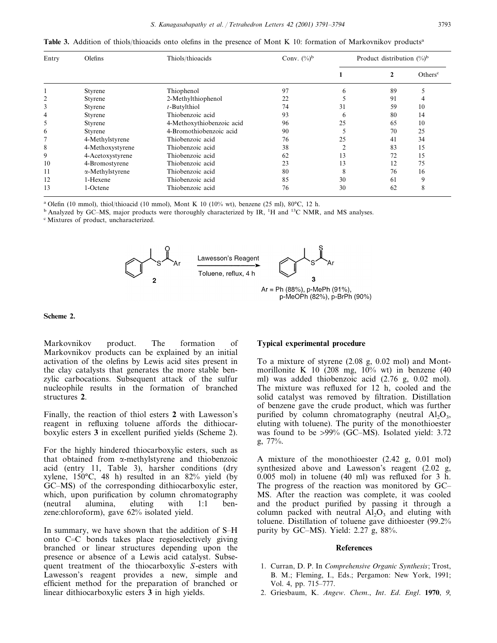**Table 3.** Addition of thiols/thioacids onto olefins in the presence of Mont K 10: formation of Markovnikov products<sup>a</sup>

| Entry | Olefins                 | Thiols/thioacids          | Conv. $(\%)^b$ | Product distribution $(\%)^b$ |    |                     |
|-------|-------------------------|---------------------------|----------------|-------------------------------|----|---------------------|
|       |                         |                           |                |                               |    | Others <sup>c</sup> |
|       | Styrene                 | Thiophenol                | 97             |                               | 89 |                     |
|       | Styrene                 | 2-Methylthiophenol        | 22             |                               | 91 |                     |
| 3     | Styrene                 | $t$ -Butylthiol           | 74             | 31                            | 59 | 10                  |
| 4     | Styrene                 | Thiobenzoic acid          | 93             | <sub>6</sub>                  | 80 | 14                  |
| 5     | Styrene                 | 4-Methoxythiobenzoic acid | 96             | 25                            | 65 | 10                  |
| 6     | Styrene                 | 4-Bromothiobenzoic acid   | 90             |                               | 70 | 25                  |
|       | 4-Methylstyrene         | Thiobenzoic acid          | 76             | 25                            | 41 | 34                  |
| 8     | 4-Methoxystyrene        | Thiobenzoic acid          | 38             |                               | 83 | 15                  |
| 9     | 4-Acetoxystyrene        | Thiobenzoic acid          | 62             | 13                            | 72 | 15                  |
| 10    | 4-Bromostyrene          | Thiobenzoic acid          | 23             | 13                            | 12 | 75                  |
| 11    | $\alpha$ -Methylstyrene | Thiobenzoic acid          | 80             | 8                             | 76 | 16                  |
| 12    | 1-Hexene                | Thiobenzoic acid          | 85             | 30                            | 61 | 9                   |
| 13    | 1-Octene                | Thiobenzoic acid          | 76             | 30                            | 62 | 8                   |

<sup>a</sup> Olefin (10 mmol), thiol/thioacid (10 mmol), Mont K 10 (10% wt), benzene (25 ml), 80°C, 12 h.

<sup>b</sup> Analyzed by GC–MS, major products were thoroughly characterized by IR, <sup>1</sup>H and <sup>13</sup>C NMR, and MS analyses.

<sup>c</sup> Mixtures of product, uncharacterized.



# p-MeOPh (82%), p-BrPh (90%)

## **Scheme 2.**

Markovnikov product. The formation of Markovnikov products can be explained by an initial activation of the olefins by Lewis acid sites present in the clay catalysts that generates the more stable benzylic carbocations. Subsequent attack of the sulfur nucleophile results in the formation of branched structures **2**.

Finally, the reaction of thiol esters **2** with Lawesson's reagent in refluxing toluene affords the dithiocarboxylic esters **3** in excellent purified yields (Scheme 2).

For the highly hindered thiocarboxylic esters, such as that obtained from  $\alpha$ -methylstyrene and thiobenzoic acid (entry 11, Table 3), harsher conditions (dry xylene,  $150^{\circ}$ C, 48 h) resulted in an 82% yield (by GC–MS) of the corresponding dithiocarboxylic ester, which, upon purification by column chromatography (neutral alumina, eluting with 1:1 benzene:chloroform), gave 62% isolated yield.

In summary, we have shown that the addition of  $S-H$ onto  $C=C$  bonds takes place regioselectively giving branched or linear structures depending upon the presence or absence of a Lewis acid catalyst. Subsequent treatment of the thiocarboxylic *S*-esters with Lawesson's reagent provides a new, simple and efficient method for the preparation of branched or linear dithiocarboxylic esters **3** in high yields.

### **Typical experimental procedure**

To a mixture of styrene (2.08 g, 0.02 mol) and Montmorillonite K 10 (208 mg,  $10\%$  wt) in benzene (40 ml) was added thiobenzoic acid (2.76 g, 0.02 mol). The mixture was refluxed for 12 h, cooled and the solid catalyst was removed by filtration. Distillation of benzene gave the crude product, which was further purified by column chromatography (neutral  $A I_2 O_3$ , eluting with toluene). The purity of the monothioester was found to be >99% (GC–MS). Isolated yield: 3.72 g, 77%.

A mixture of the monothioester (2.42 g, 0.01 mol) synthesized above and Lawesson's reagent (2.02 g, 0.005 mol) in toluene (40 ml) was refluxed for 3 h. The progress of the reaction was monitored by GC– MS. After the reaction was complete, it was cooled and the product purified by passing it through a column packed with neutral  $Al_2O_3$  and eluting with toluene. Distillation of toluene gave dithioester (99.2% purity by GC–MS). Yield:  $2.27$  g,  $88\%$ .

### **References**

- 1. Curran, D. P. In *Comprehensive Organic Synthesis*; Trost, B. M.; Fleming, I., Eds.; Pergamon: New York, 1991; Vol. 4, pp. 715–777.
- 2. Griesbaum, K. *Angew*. *Chem*., *Int*. *Ed*. *Engl*. **1970**, 9,